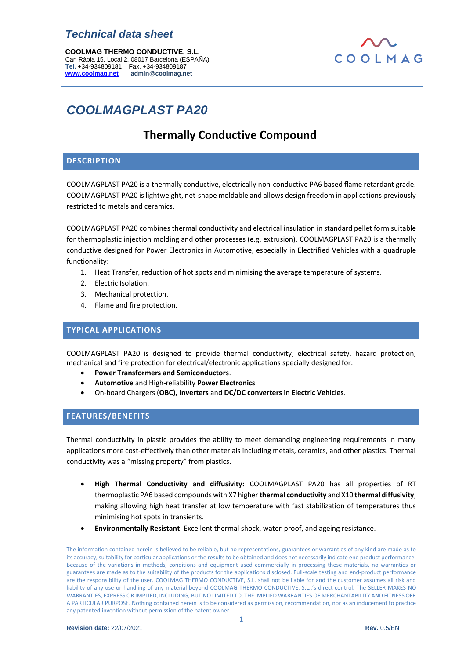**COOLMAG THERMO CONDUCTIVE, S.L.** Can Ràbia 15, Local 2, 08017 Barcelona (ESPAÑA) **Tel.** +34-934809181 Fax. +34-934809187 **[www.coolmag.net](http://www.coolmag.net/) admin@coolmag.net**

## COOLMAG

## *COOLMAGPLAST PA20*

## **Thermally Conductive Compound**

## **DESCRIPTION**

COOLMAGPLAST PA20 is a thermally conductive, electrically non-conductive PA6 based flame retardant grade. COOLMAGPLAST PA20 is lightweight, net-shape moldable and allows design freedom in applications previously restricted to metals and ceramics.

COOLMAGPLAST PA20 combines thermal conductivity and electrical insulation in standard pellet form suitable for thermoplastic injection molding and other processes (e.g. extrusion). COOLMAGPLAST PA20 is a thermally conductive designed for Power Electronics in Automotive, especially in Electrified Vehicles with a quadruple functionality:

- 1. Heat Transfer, reduction of hot spots and minimising the average temperature of systems.
- 2. Electric Isolation.
- 3. Mechanical protection.
- 4. Flame and fire protection.

## **TYPICAL APPLICATIONS**

COOLMAGPLAST PA20 is designed to provide thermal conductivity, electrical safety, hazard protection, mechanical and fire protection for electrical/electronic applications specially designed for:

- **Power Transformers and Semiconductors**.
- **Automotive** and High-reliability **Power Electronics**.
- On-board Chargers (**OBC), Inverters** and **DC/DC converters** in **Electric Vehicles**.

## **FEATURES/BENEFITS**

Thermal conductivity in plastic provides the ability to meet demanding engineering requirements in many applications more cost-effectively than other materials including metals, ceramics, and other plastics. Thermal conductivity was a "missing property" from plastics.

- **High Thermal Conductivity and diffusivity:** COOLMAGPLAST PA20 has all properties of RT thermoplastic PA6 based compounds with X7 higher**thermal conductivity** and X10 **thermal diffusivity**, making allowing high heat transfer at low temperature with fast stabilization of temperatures thus minimising hot spots in transients.
- **Environmentally Resistant**: Excellent thermal shock, water-proof, and ageing resistance.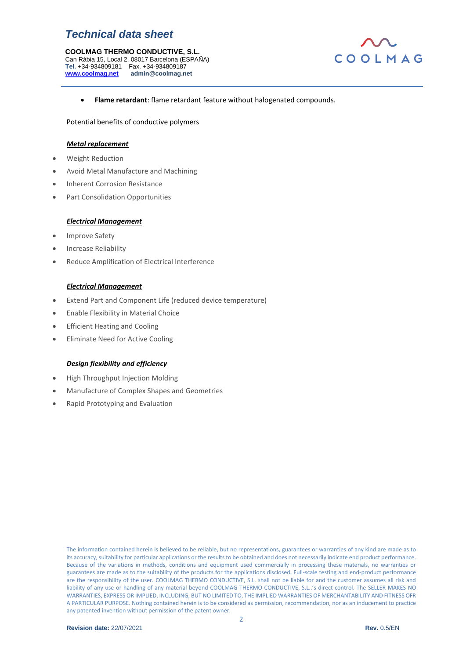**COOLMAG THERMO CONDUCTIVE, S.L.** Can Ràbia 15, Local 2, 08017 Barcelona (ESPAÑA) **Tel.** +34-934809181 Fax. +34-934809187 **[www.coolmag.net](http://www.coolmag.net/) admin@coolmag.net**



• **Flame retardant**: flame retardant feature without halogenated compounds.

### Potential benefits of conductive polymers

### *Metal replacement*

- Weight Reduction
- Avoid Metal Manufacture and Machining
- Inherent Corrosion Resistance
- Part Consolidation Opportunities

#### *Electrical Management*

- Improve Safety
- Increase Reliability
- Reduce Amplification of Electrical Interference

#### *Electrical Management*

- Extend Part and Component Life (reduced device temperature)
- Enable Flexibility in Material Choice
- **Efficient Heating and Cooling**
- Eliminate Need for Active Cooling

## *Design flexibility and efficiency*

- High Throughput Injection Molding
- Manufacture of Complex Shapes and Geometries
- Rapid Prototyping and Evaluation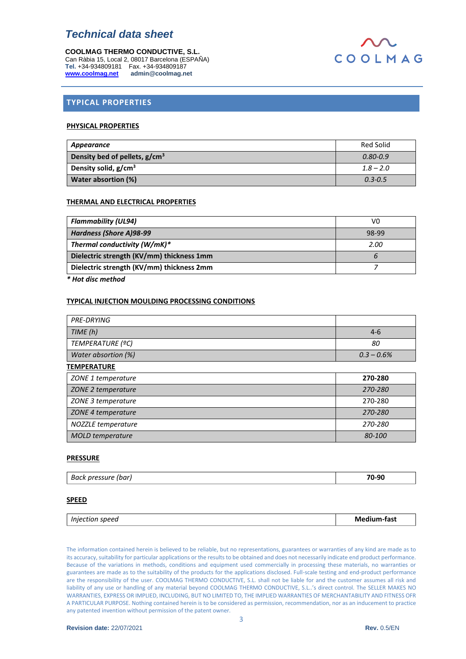**COOLMAG THERMO CONDUCTIVE, S.L.** Can Ràbia 15, Local 2, 08017 Barcelona (ESPAÑA) **Tel.** +34-934809181 Fax. +34-934809187 **[www.coolmag.net](http://www.coolmag.net/) admin@coolmag.net**



## **TYPICAL PROPERTIES**

### **PHYSICAL PROPERTIES**

| Appearance                       | Red Solid    |
|----------------------------------|--------------|
| Density bed of pellets, $g/cm3$  | $0.80 - 0.9$ |
| Density solid, g/cm <sup>3</sup> | $1.8 - 2.0$  |
| Water absortion (%)              | $0.3 - 0.5$  |

### **THERMAL AND ELECTRICAL PROPERTIES**

| <b>Flammability (UL94)</b>                | V0    |
|-------------------------------------------|-------|
| Hardness (Shore A)98-99                   | 98-99 |
| Thermal conductivity $(W/mK)^*$           | 2.00  |
| Dielectric strength (KV/mm) thickness 1mm | b     |
| Dielectric strength (KV/mm) thickness 2mm |       |

*\* Hot disc method*

## **TYPICAL INJECTION MOULDING PROCESSING CONDITIONS**

| <b>PRE-DRYING</b>       |               |
|-------------------------|---------------|
| TIME(h)                 | $4-6$         |
| TEMPERATURE (ºC)        | 80            |
| Water absortion (%)     | $0.3 - 0.6\%$ |
| <b>TEMPERATURE</b>      |               |
| ZONE 1 temperature      | 270-280       |
| ZONE 2 temperature      | 270-280       |
| ZONE 3 temperature      | 270-280       |
| ZONE 4 temperature      | 270-280       |
| NOZZLE temperature      | 270-280       |
| <b>MOLD</b> temperature | <i>80-100</i> |

## **PRESSURE**

| 70-90<br>-<br>.<br>(bar<br>nres<br>васк<br>essure |  |
|---------------------------------------------------|--|
|---------------------------------------------------|--|

#### **SPEED**

| <i>Injection</i><br>speed | Medium-fast |
|---------------------------|-------------|
|                           |             |